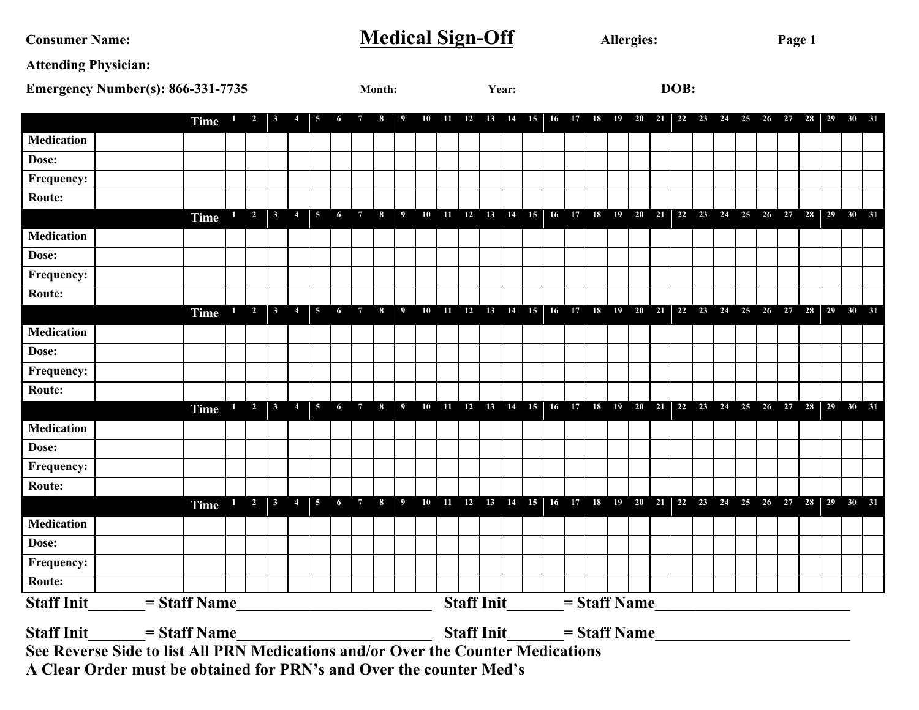Consumer Name: Medical Sign-Off Allergies: Page 1

**Attending Physician:** 

| <b>Emergency Number(s): 866-331-7735</b><br>Month: |                                                                                  |  |                  |              |                             | Year:        |                                     |                 |   |                 |  | DOB: |    |                                         |    |    |    |    |    |    |    |    |                                         |    |    |  |            |    |    |                                                                           |    |    |
|----------------------------------------------------|----------------------------------------------------------------------------------|--|------------------|--------------|-----------------------------|--------------|-------------------------------------|-----------------|---|-----------------|--|------|----|-----------------------------------------|----|----|----|----|----|----|----|----|-----------------------------------------|----|----|--|------------|----|----|---------------------------------------------------------------------------|----|----|
|                                                    |                                                                                  |  | Time             |              | $\mathbf{2}$                | 3            |                                     | 5               | 6 |                 |  | 10   | 11 | 12                                      | 13 | 14 | 15 | 16 | 17 | 18 | 19 | 20 | 21                                      | 22 | 23 |  | $24 \t 25$ | 26 | 27 | 28 29                                                                     | 30 | 31 |
| <b>Medication</b>                                  |                                                                                  |  |                  |              |                             |              |                                     |                 |   |                 |  |      |    |                                         |    |    |    |    |    |    |    |    |                                         |    |    |  |            |    |    |                                                                           |    |    |
| Dose:                                              |                                                                                  |  |                  |              |                             |              |                                     |                 |   |                 |  |      |    |                                         |    |    |    |    |    |    |    |    |                                         |    |    |  |            |    |    |                                                                           |    |    |
| Frequency:                                         |                                                                                  |  |                  |              |                             |              |                                     |                 |   |                 |  |      |    |                                         |    |    |    |    |    |    |    |    |                                         |    |    |  |            |    |    |                                                                           |    |    |
| Route:                                             |                                                                                  |  |                  |              |                             |              |                                     |                 |   |                 |  |      |    |                                         |    |    |    |    |    |    |    |    |                                         |    |    |  |            |    |    |                                                                           |    |    |
|                                                    |                                                                                  |  | Time $1 \t2 \t3$ |              |                             |              | $\overline{\mathbf{4}}$             | $\vert 5 \vert$ | 6 |                 |  |      |    |                                         |    |    |    |    |    |    |    |    |                                         |    |    |  |            |    |    |                                                                           |    |    |
| <b>Medication</b>                                  |                                                                                  |  |                  |              |                             |              |                                     |                 |   |                 |  |      |    |                                         |    |    |    |    |    |    |    |    |                                         |    |    |  |            |    |    |                                                                           |    |    |
| Dose:                                              |                                                                                  |  |                  |              |                             |              |                                     |                 |   |                 |  |      |    |                                         |    |    |    |    |    |    |    |    |                                         |    |    |  |            |    |    |                                                                           |    |    |
| Frequency:                                         |                                                                                  |  |                  |              |                             |              |                                     |                 |   |                 |  |      |    |                                         |    |    |    |    |    |    |    |    |                                         |    |    |  |            |    |    |                                                                           |    |    |
| <b>Route:</b>                                      |                                                                                  |  |                  |              |                             |              |                                     |                 |   |                 |  |      |    |                                         |    |    |    |    |    |    |    |    |                                         |    |    |  |            |    |    |                                                                           |    |    |
|                                                    |                                                                                  |  | Time             | $\mathbf{1}$ | $\overline{\mathbf{2}}$     | $\mathbf{3}$ | $\overline{4}$                      | $\vert 5 \vert$ | 6 | $7\overline{ }$ |  |      |    |                                         |    |    |    |    |    |    |    |    | 8 9 10 11 12 13 14 15 16 17 18 19 20 21 |    |    |  |            |    |    |                                                                           |    |    |
| <b>Medication</b>                                  |                                                                                  |  |                  |              |                             |              |                                     |                 |   |                 |  |      |    |                                         |    |    |    |    |    |    |    |    |                                         |    |    |  |            |    |    |                                                                           |    |    |
| Dose:                                              |                                                                                  |  |                  |              |                             |              |                                     |                 |   |                 |  |      |    |                                         |    |    |    |    |    |    |    |    |                                         |    |    |  |            |    |    |                                                                           |    |    |
| Frequency:                                         |                                                                                  |  |                  |              |                             |              |                                     |                 |   |                 |  |      |    |                                         |    |    |    |    |    |    |    |    |                                         |    |    |  |            |    |    |                                                                           |    |    |
| Route:                                             |                                                                                  |  |                  |              |                             |              |                                     |                 |   |                 |  |      |    |                                         |    |    |    |    |    |    |    |    |                                         |    |    |  |            |    |    |                                                                           |    |    |
|                                                    |                                                                                  |  | Time             |              | $1 \quad 2 \quad 3$         |              | $\overline{4}$                      |                 |   |                 |  |      |    |                                         |    |    |    |    |    |    |    |    |                                         |    |    |  |            |    |    |                                                                           |    |    |
| <b>Medication</b>                                  |                                                                                  |  |                  |              |                             |              |                                     |                 |   |                 |  |      |    |                                         |    |    |    |    |    |    |    |    |                                         |    |    |  |            |    |    |                                                                           |    |    |
| Dose:                                              |                                                                                  |  |                  |              |                             |              |                                     |                 |   |                 |  |      |    |                                         |    |    |    |    |    |    |    |    |                                         |    |    |  |            |    |    |                                                                           |    |    |
| Frequency:                                         |                                                                                  |  |                  |              |                             |              |                                     |                 |   |                 |  |      |    |                                         |    |    |    |    |    |    |    |    |                                         |    |    |  |            |    |    |                                                                           |    |    |
| Route:                                             |                                                                                  |  |                  |              |                             |              |                                     |                 |   |                 |  |      |    |                                         |    |    |    |    |    |    |    |    |                                         |    |    |  |            |    |    |                                                                           |    |    |
|                                                    |                                                                                  |  | Time             |              | $1 \quad 2 \quad 3 \quad 4$ |              |                                     | $\sqrt{5}$      |   |                 |  |      |    |                                         |    |    |    |    |    |    |    |    |                                         |    |    |  |            |    |    | 6 7 8 9 10 11 12 13 14 15 16 17 18 19 20 21 22 23 24 25 26 27 28 29 30 31 |    |    |
| <b>Medication</b>                                  |                                                                                  |  |                  |              |                             |              |                                     |                 |   |                 |  |      |    |                                         |    |    |    |    |    |    |    |    |                                         |    |    |  |            |    |    |                                                                           |    |    |
| Dose:                                              |                                                                                  |  |                  |              |                             |              |                                     |                 |   |                 |  |      |    |                                         |    |    |    |    |    |    |    |    |                                         |    |    |  |            |    |    |                                                                           |    |    |
| Frequency:                                         |                                                                                  |  |                  |              |                             |              |                                     |                 |   |                 |  |      |    |                                         |    |    |    |    |    |    |    |    |                                         |    |    |  |            |    |    |                                                                           |    |    |
| Route:                                             |                                                                                  |  |                  |              |                             |              |                                     |                 |   |                 |  |      |    |                                         |    |    |    |    |    |    |    |    |                                         |    |    |  |            |    |    |                                                                           |    |    |
| <b>Staff Init</b>                                  | $=$ Staff Name                                                                   |  |                  |              |                             |              |                                     |                 |   |                 |  |      |    | <b>Staff Init</b> $=$ <b>Staff Name</b> |    |    |    |    |    |    |    |    |                                         |    |    |  |            |    |    |                                                                           |    |    |
| <b>Staff Init</b>                                  | $=$ Staff Name                                                                   |  |                  |              |                             |              | <b>Staff Init</b><br>$=$ Staff Name |                 |   |                 |  |      |    |                                         |    |    |    |    |    |    |    |    |                                         |    |    |  |            |    |    |                                                                           |    |    |
|                                                    | See Reverse Side to list All PRN Medications and/or Over the Counter Medications |  |                  |              |                             |              |                                     |                 |   |                 |  |      |    |                                         |    |    |    |    |    |    |    |    |                                         |    |    |  |            |    |    |                                                                           |    |    |
|                                                    | A Clear Order must be obtained for PRN's and Over the counter Med's              |  |                  |              |                             |              |                                     |                 |   |                 |  |      |    |                                         |    |    |    |    |    |    |    |    |                                         |    |    |  |            |    |    |                                                                           |    |    |